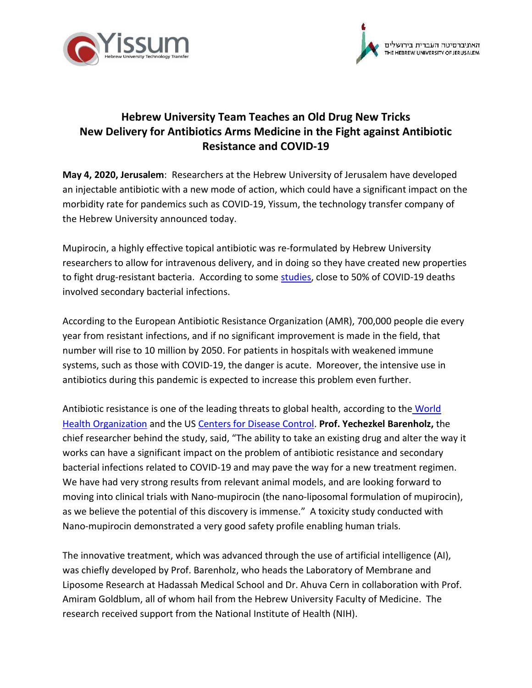



## **Hebrew University Team Teaches an Old Drug New Tricks New Delivery for Antibiotics Arms Medicine in the Fight against Antibiotic Resistance and COVID-19**

**May 4, 2020, Jerusalem**: Researchers at the Hebrew University of Jerusalem have developed an injectable antibiotic with a new mode of action, which could have a significant impact on the morbidity rate for pandemics such as COVID-19, Yissum, the technology transfer company of the Hebrew University announced today.

Mupirocin, a highly effective topical antibiotic was re-formulated by Hebrew University researchers to allow for intravenous delivery, and in doing so they have created new properties to fight drug-resistant bacteria. According to some [studies,](https://www.thelancet.com/journals/lancet/article/PIIS0140-6736(20)30566-3/fulltext#tbl2) close to 50% of COVID-19 deaths involved secondary bacterial infections.

According to the European Antibiotic Resistance Organization (AMR), 700,000 people die every year from resistant infections, and if no significant improvement is made in the field, that number will rise to 10 million by 2050. For patients in hospitals with weakened immune systems, such as those with COVID-19, the danger is acute. Moreover, the intensive use in antibiotics during this pandemic is expected to increase this problem even further.

Antibiotic resistance is one of the leading threats to global health, according to the World [Health Organization](https://www.who.int/news-room/fact-sheets/detail/antibiotic-resistance) and the US [Centers for Disease Control.](https://www.cdc.gov/drugresistance/biggest-threats.html) **Prof. Yechezkel Barenholz,** the chief researcher behind the study, said, "The ability to take an existing drug and alter the way it works can have a significant impact on the problem of antibiotic resistance and secondary bacterial infections related to COVID-19 and may pave the way for a new treatment regimen. We have had very strong results from relevant animal models, and are looking forward to moving into clinical trials with Nano-mupirocin (the nano-liposomal formulation of mupirocin), as we believe the potential of this discovery is immense." A toxicity study conducted with Nano-mupirocin demonstrated a very good safety profile enabling human trials.

The innovative treatment, which was advanced through the use of artificial intelligence (AI), was chiefly developed by Prof. Barenholz, who heads the Laboratory of Membrane and Liposome Research at Hadassah Medical School and Dr. Ahuva Cern in collaboration with Prof. Amiram Goldblum, all of whom hail from the Hebrew University Faculty of Medicine. The research received support from the National Institute of Health (NIH).